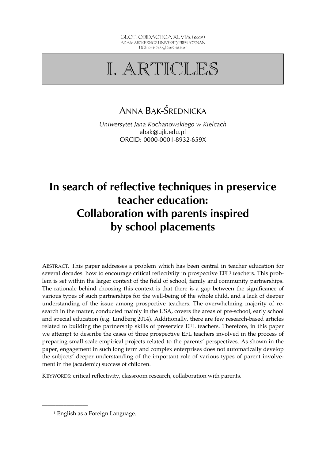# I. ARTICLES

# ANNA BĄK-ŚREDNICKA

*Uniwersytet Jana Kochanowskiego w Kielcach*  abak@ujk.edu.pl ORCID: 0000-0001-8932-659X

# **In search of reflective techniques in preservice teacher education: Collaboration with parents inspired by school placements**

ABSTRACT. This paper addresses a problem which has been central in teacher education for several decades: how to encourage critical reflectivity in prospective EFL1 teachers. This problem is set within the larger context of the field of school, family and community partnerships. The rationale behind choosing this context is that there is a gap between the significance of various types of such partnerships for the well-being of the whole child, and a lack of deeper understanding of the issue among prospective teachers. The overwhelming majority of research in the matter, conducted mainly in the USA, covers the areas of pre-school, early school and special education (e.g. Lindberg 2014). Additionally, there are few research-based articles related to building the partnership skills of preservice EFL teachers. Therefore, in this paper we attempt to describe the cases of three prospective EFL teachers involved in the process of preparing small scale empirical projects related to the parents' perspectives. As shown in the paper, engagement in such long term and complex enterprises does not automatically develop the subjects' deeper understanding of the important role of various types of parent involvement in the (academic) success of children.

KEYWORDS: critical reflectivity, classroom research, collaboration with parents.

<sup>1</sup> English as a Foreign Language.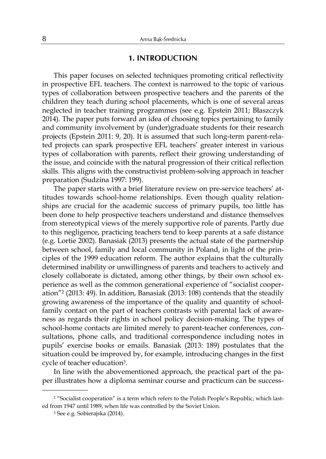### **1. INTRODUCTION**

This paper focuses on selected techniques promoting critical reflectivity in prospective EFL teachers. The context is narrowed to the topic of various types of collaboration between prospective teachers and the parents of the children they teach during school placements, which is one of several areas neglected in teacher training programmes (see e.g. Epstein 2011; Błaszczyk 2014). The paper puts forward an idea of choosing topics pertaining to family and community involvement by (under)graduate students for their research projects (Epstein 2011: 9, 20). It is assumed that such long-term parent-related projects can spark prospective EFL teachers' greater interest in various types of collaboration with parents, reflect their growing understanding of the issue, and coincide with the natural progression of their critical reflection skills. This aligns with the constructivist problem-solving approach in teacher preparation (Sudzina 1997: 199).

The paper starts with a brief literature review on pre-service teachers' attitudes towards school-home relationships. Even though quality relationships are crucial for the academic success of primary pupils, too little has been done to help prospective teachers understand and distance themselves from stereotypical views of the merely supportive role of parents. Partly due to this negligence, practicing teachers tend to keep parents at a safe distance (e.g. Lortie 2002). Banasiak (2013) presents the actual state of the partnership between school, family and local community in Poland, in light of the principles of the 1999 education reform. The author explains that the culturally determined inability or unwillingness of parents and teachers to actively and closely collaborate is dictated, among other things, by their own school experience as well as the common generational experience of "socialist cooperation"2 (2013: 49). In addition, Banasiak (2013: 108) contends that the steadily growing awareness of the importance of the quality and quantity of schoolfamily contact on the part of teachers contrasts with parental lack of awareness as regards their rights in school policy decision-making. The types of school-home contacts are limited merely to parent-teacher conferences, consultations, phone calls, and traditional correspondence including notes in pupils' exercise books or emails. Banasiak (2013: 189) postulates that the situation could be improved by, for example, introducing changes in the first cycle of teacher education3.

In line with the abovementioned approach, the practical part of the paper illustrates how a diploma seminar course and practicum can be success-

<sup>&</sup>lt;sup>2</sup> "Socialist cooperation" is a term which refers to the Polish People's Republic, which lasted from 1947 until 1989, when life was controlled by the Soviet Union.

<sup>3</sup> See e.g. Sobierajska (2014).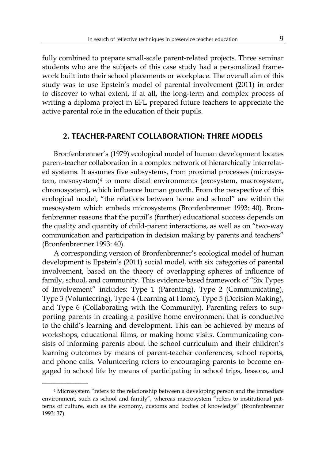fully combined to prepare small-scale parent-related projects. Three seminar students who are the subjects of this case study had a personalized framework built into their school placements or workplace. The overall aim of this study was to use Epstein's model of parental involvement (2011) in order to discover to what extent, if at all, the long-term and complex process of writing a diploma project in EFL prepared future teachers to appreciate the active parental role in the education of their pupils.

### **2. TEACHER-PARENT COLLABORATION: THREE MODELS**

Bronfenbrenner's (1979) ecological model of human development locates parent-teacher collaboration in a complex network of hierarchically interrelated systems. It assumes five subsystems, from proximal processes (microsystem, mesosystem)4 to more distal environments (exosystem, macrosystem, chronosystem), which influence human growth. From the perspective of this ecological model, "the relations between home and school" are within the mesosystem which embeds microsystems (Bronfenbrenner 1993: 40). Bronfenbrenner reasons that the pupil's (further) educational success depends on the quality and quantity of child-parent interactions, as well as on "two-way communication and participation in decision making by parents and teachers" (Bronfenbrenner 1993: 40).

A corresponding version of Bronfenbrenner's ecological model of human development is Epstein's (2011) social model, with six categories of parental involvement, based on the theory of overlapping spheres of influence of family, school, and community. This evidence-based framework of "Six Types of Involvement" includes: Type 1 (Parenting), Type 2 (Communicating), Type 3 (Volunteering), Type 4 (Learning at Home), Type 5 (Decision Making), and Type 6 (Collaborating with the Community). Parenting refers to supporting parents in creating a positive home environment that is conductive to the child's learning and development. This can be achieved by means of workshops, educational films, or making home visits. Communicating consists of informing parents about the school curriculum and their children's learning outcomes by means of parent-teacher conferences, school reports, and phone calls. Volunteering refers to encouraging parents to become engaged in school life by means of participating in school trips, lessons, and

<sup>4</sup> Microsystem "refers to the relationship between a developing person and the immediate environment, such as school and family", whereas macrosystem "refers to institutional patterns of culture, such as the economy, customs and bodies of knowledge" (Bronfenbrenner 1993: 37).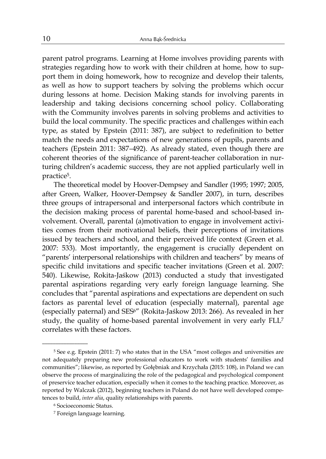parent patrol programs. Learning at Home involves providing parents with strategies regarding how to work with their children at home, how to support them in doing homework, how to recognize and develop their talents, as well as how to support teachers by solving the problems which occur during lessons at home. Decision Making stands for involving parents in leadership and taking decisions concerning school policy. Collaborating with the Community involves parents in solving problems and activities to build the local community. The specific practices and challenges within each type, as stated by Epstein (2011: 387), are subject to redefinition to better match the needs and expectations of new generations of pupils, parents and teachers (Epstein 2011: 387*–*492). As already stated, even though there are coherent theories of the significance of parent-teacher collaboration in nurturing children's academic success, they are not applied particularly well in practice5.

The theoretical model by Hoover-Dempsey and Sandler (1995; 1997; 2005, after Green, Walker, Hoover-Dempsey & Sandler 2007), in turn, describes three groups of intrapersonal and interpersonal factors which contribute in the decision making process of parental home-based and school-based involvement. Overall, parental (a)motivation to engage in involvement activities comes from their motivational beliefs, their perceptions of invitations issued by teachers and school, and their perceived life context (Green et al. 2007: 533). Most importantly, the engagement is crucially dependent on "parents' interpersonal relationships with children and teachers" by means of specific child invitations and specific teacher invitations (Green et al. 2007: 540). Likewise, Rokita-Jaśkow (2013) conducted a study that investigated parental aspirations regarding very early foreign language learning. She concludes that "parental aspirations and expectations are dependent on such factors as parental level of education (especially maternal), parental age (especially paternal) and SES6" (Rokita-Jaśkow 2013: 266). As revealed in her study, the quality of home-based parental involvement in very early FLL<sup>7</sup> correlates with these factors.

<sup>5</sup> See e.g. Epstein (2011: 7) who states that in the USA "most colleges and universities are not adequately preparing new professional educators to work with students' families and communities"; likewise, as reported by Gołębniak and Krzychała (2015: 108), in Poland we can observe the process of marginalizing the role of the pedagogical and psychological component of preservice teacher education, especially when it comes to the teaching practice. Moreover, as reported by Walczak (2012), beginning teachers in Poland do not have well developed competences to build, *inter alia*, quality relationships with parents.

<sup>6</sup> Socioeconomic Status.

<sup>7</sup> Foreign language learning.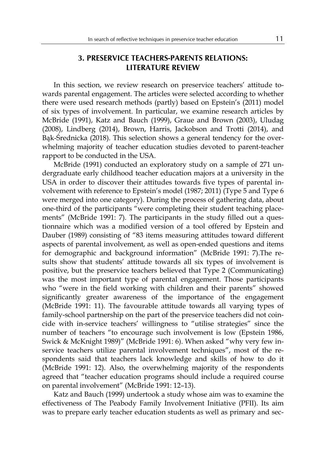## **3. PRESERVICE TEACHERS-PARENTS RELATIONS: LITERATURE REVIEW**

In this section, we review research on preservice teachers' attitude towards parental engagement. The articles were selected according to whether there were used research methods (partly) based on Epstein's (2011) model of six types of involvement. In particular, we examine research articles by McBride (1991), Katz and Bauch (1999), Graue and Brown (2003), Uludag (2008), Lindberg (2014), Brown, Harris, Jackobson and Trotti (2014), and Bąk-Średnicka (2018). This selection shows a general tendency for the overwhelming majority of teacher education studies devoted to parent-teacher rapport to be conducted in the USA.

McBride (1991) conducted an exploratory study on a sample of 271 undergraduate early childhood teacher education majors at a university in the USA in order to discover their attitudes towards five types of parental involvement with reference to Epstein's model (1987; 2011) (Type 5 and Type 6 were merged into one category). During the process of gathering data, about one-third of the participants "were completing their student teaching placements" (McBride 1991: 7). The participants in the study filled out a questionnaire which was a modified version of a tool offered by Epstein and Dauber (1989) consisting of "83 items measuring attitudes toward different aspects of parental involvement, as well as open-ended questions and items for demographic and background information" (McBride 1991: 7).The results show that students' attitude towards all six types of involvement is positive, but the preservice teachers believed that Type 2 (Communicating) was the most important type of parental engagement. Those participants who "were in the field working with children and their parents" showed significantly greater awareness of the importance of the engagement (McBride 1991: 11). The favourable attitude towards all varying types of family-school partnership on the part of the preservice teachers did not coincide with in-service teachers' willingness to "utilise strategies" since the number of teachers "to encourage such involvement is low (Epstein 1986, Swick & McKnight 1989)" (McBride 1991: 6). When asked "why very few inservice teachers utilize parental involvement techniques", most of the respondents said that teachers lack knowledge and skills of how to do it (McBride 1991: 12). Also, the overwhelming majority of the respondents agreed that "teacher education programs should include a required course on parental involvement" (McBride 1991: 12–13).

Katz and Bauch (1999) undertook a study whose aim was to examine the effectiveness of The Peabody Family Involvement Initiative (PFII). Its aim was to prepare early teacher education students as well as primary and sec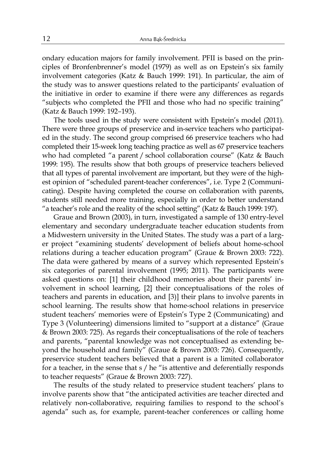ondary education majors for family involvement. PFII is based on the principles of Bronfenbrenner's model (1979) as well as on Epstein's six family involvement categories (Katz & Bauch 1999: 191). In particular, the aim of the study was to answer questions related to the participants' evaluation of the initiative in order to examine if there were any differences as regards "subjects who completed the PFII and those who had no specific training" (Katz & Bauch 1999: 192*–*193).

The tools used in the study were consistent with Epstein's model (2011). There were three groups of preservice and in-service teachers who participated in the study. The second group comprised 66 preservice teachers who had completed their 15-week long teaching practice as well as 67 preservice teachers who had completed "a parent / school collaboration course" (Katz & Bauch 1999: 195). The results show that both groups of preservice teachers believed that all types of parental involvement are important, but they were of the highest opinion of "scheduled parent-teacher conferences", i.e. Type 2 (Communicating). Despite having completed the course on collaboration with parents, students still needed more training, especially in order to better understand "a teacher's role and the reality of the school setting" (Katz & Bauch 1999: 197).

Graue and Brown (2003), in turn, investigated a sample of 130 entry-level elementary and secondary undergraduate teacher education students from a Midwestern university in the United States. The study was a part of a larger project "examining students' development of beliefs about home-school relations during a teacher education program" (Graue & Brown 2003: 722). The data were gathered by means of a survey which represented Epstein's six categories of parental involvement (1995; 2011). The participants were asked questions on: [1] their childhood memories about their parents' involvement in school learning, [2] their conceptualisations of the roles of teachers and parents in education, and [3)] their plans to involve parents in school learning. The results show that home-school relations in preservice student teachers' memories were of Epstein's Type 2 (Communicating) and Type 3 (Volunteering) dimensions limited to "support at a distance" (Graue & Brown 2003: 725). As regards their conceptualisations of the role of teachers and parents, "parental knowledge was not conceptualised as extending beyond the household and family" (Graue & Brown 2003: 726). Consequently, preservice student teachers believed that a parent is a limited collaborator for a teacher, in the sense that s / he "is attentive and deferentially responds to teacher requests" (Graue & Brown 2003: 727).

The results of the study related to preservice student teachers' plans to involve parents show that "the anticipated activities are teacher directed and relatively non-collaborative, requiring families to respond to the school's agenda" such as, for example, parent-teacher conferences or calling home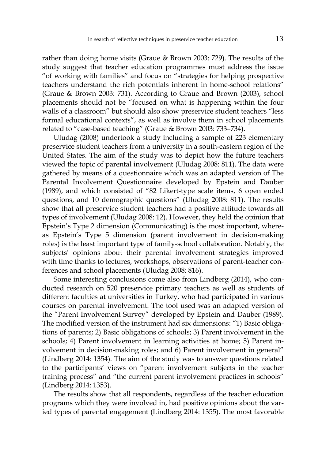rather than doing home visits (Graue & Brown 2003: 729). The results of the study suggest that teacher education programmes must address the issue "of working with families" and focus on "strategies for helping prospective teachers understand the rich potentials inherent in home-school relations" (Graue & Brown 2003: 731). According to Graue and Brown (2003), school placements should not be "focused on what is happening within the four walls of a classroom" but should also show preservice student teachers "less formal educational contexts", as well as involve them in school placements related to "case-based teaching" (Graue & Brown 2003: 733*–*734).

Uludag (2008) undertook a study including a sample of 223 elementary preservice student teachers from a university in a south-eastern region of the United States. The aim of the study was to depict how the future teachers viewed the topic of parental involvement (Uludag 2008: 811). The data were gathered by means of a questionnaire which was an adapted version of The Parental Involvement Questionnaire developed by Epstein and Dauber (1989), and which consisted of "82 Likert-type scale items, 6 open ended questions, and 10 demographic questions" (Uludag 2008: 811). The results show that all preservice student teachers had a positive attitude towards all types of involvement (Uludag 2008: 12). However, they held the opinion that Epstein's Type 2 dimension (Communicating) is the most important, whereas Epstein's Type 5 dimension (parent involvement in decision-making roles) is the least important type of family-school collaboration. Notably, the subjects' opinions about their parental involvement strategies improved with time thanks to lectures, workshops, observations of parent-teacher conferences and school placements (Uludag 2008: 816).

Some interesting conclusions come also from Lindberg (2014), who conducted research on 520 preservice primary teachers as well as students of different faculties at universities in Turkey, who had participated in various courses on parental involvement. The tool used was an adapted version of the "Parent Involvement Survey" developed by Epstein and Dauber (1989). The modified version of the instrument had six dimensions: "1) Basic obligations of parents; 2) Basic obligations of schools; 3) Parent involvement in the schools; 4) Parent involvement in learning activities at home; 5) Parent involvement in decision-making roles; and 6) Parent involvement in general" (Lindberg 2014: 1354). The aim of the study was to answer questions related to the participants' views on "parent involvement subjects in the teacher training process" and "the current parent involvement practices in schools" (Lindberg 2014: 1353).

The results show that all respondents, regardless of the teacher education programs which they were involved in, had positive opinions about the varied types of parental engagement (Lindberg 2014: 1355). The most favorable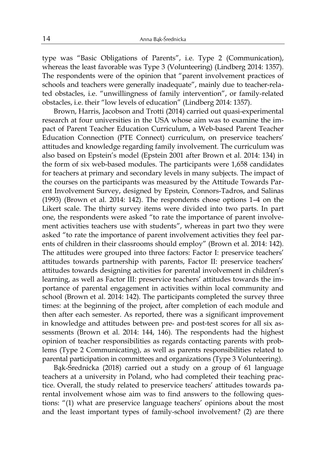type was "Basic Obligations of Parents", i.e. Type 2 (Communication), whereas the least favorable was Type 3 (Volunteering) (Lindberg 2014: 1357). The respondents were of the opinion that "parent involvement practices of schools and teachers were generally inadequate", mainly due to teacher-related obstacles, i.e. "unwillingness of family intervention", or family-related obstacles, i.e. their "low levels of education" (Lindberg 2014: 1357).

Brown, Harris, Jacobson and Trotti (2014) carried out quasi-experimental research at four universities in the USA whose aim was to examine the impact of Parent Teacher Education Curriculum, a Web-based Parent Teacher Education Connection (PTE Connect) curriculum, on preservice teachers' attitudes and knowledge regarding family involvement. The curriculum was also based on Epstein's model (Epstein 2001 after Brown et al. 2014: 134) in the form of six web-based modules. The participants were 1,658 candidates for teachers at primary and secondary levels in many subjects. The impact of the courses on the participants was measured by the Attitude Towards Parent Involvement Survey, designed by Epstein, Connors-Tadros, and Salinas (1993) (Brown et al. 2014: 142). The respondents chose options 1–4 on the Likert scale. The thirty survey items were divided into two parts. In part one, the respondents were asked "to rate the importance of parent involvement activities teachers use with students", whereas in part two they were asked "to rate the importance of parent involvement activities they feel parents of children in their classrooms should employ" (Brown et al. 2014: 142). The attitudes were grouped into three factors: Factor I: preservice teachers' attitudes towards partnership with parents, Factor II: preservice teachers' attitudes towards designing activities for parental involvement in children's learning, as well as Factor III: preservice teachers' attitudes towards the importance of parental engagement in activities within local community and school (Brown et al. 2014: 142). The participants completed the survey three times: at the beginning of the project, after completion of each module and then after each semester. As reported, there was a significant improvement in knowledge and attitudes between pre- and post-test scores for all six assessments (Brown et al. 2014: 144, 146). The respondents had the highest opinion of teacher responsibilities as regards contacting parents with problems (Type 2 Communicating), as well as parents responsibilities related to parental participation in committees and organizations (Type 3 Volunteering).

Bąk-Średnicka (2018) carried out a study on a group of 61 language teachers at a university in Poland, who had completed their teaching practice. Overall, the study related to preservice teachers' attitudes towards parental involvement whose aim was to find answers to the following questions: "(1) what are preservice language teachers' opinions about the most and the least important types of family-school involvement? (2) are there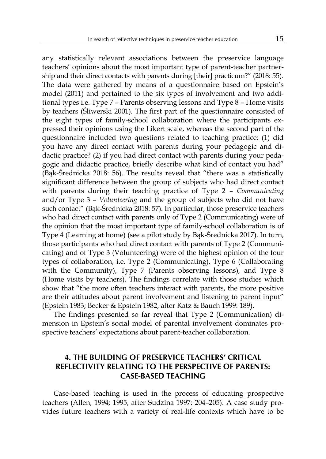any statistically relevant associations between the preservice language teachers' opinions about the most important type of parent-teacher partnership and their direct contacts with parents during [their] practicum?" (2018: 55). The data were gathered by means of a questionnaire based on Epstein's model (2011) and pertained to the six types of involvement and two additional types i.e. Type 7 – Parents observing lessons and Type 8 – Home visits by teachers (Śliwerski 2001). The first part of the questionnaire consisted of the eight types of family-school collaboration where the participants expressed their opinions using the Likert scale, whereas the second part of the questionnaire included two questions related to teaching practice: (1) did you have any direct contact with parents during your pedagogic and didactic practice? (2) if you had direct contact with parents during your pedagogic and didactic practice, briefly describe what kind of contact you had" (Bąk-Średnicka 2018: 56). The results reveal that "there was a statistically significant difference between the group of subjects who had direct contact with parents during their teaching practice of Type 2 – *Communicating* and/or Type 3 – *Volunteering* and the group of subjects who did not have such contact" (Bąk-Średnicka 2018: 57). In particular, those preservice teachers who had direct contact with parents only of Type 2 (Communicating) were of the opinion that the most important type of family-school collaboration is of Type 4 (Learning at home) (see a pilot study by Bąk-Średnicka 2017). In turn, those participants who had direct contact with parents of Type 2 (Communicating) and of Type 3 (Volunteering) were of the highest opinion of the four

types of collaboration, i.e. Type 2 (Communicating), Type 6 (Collaborating with the Community), Type 7 (Parents observing lessons), and Type 8 (Home visits by teachers). The findings correlate with those studies which show that "the more often teachers interact with parents, the more positive are their attitudes about parent involvement and listening to parent input" (Epstein 1983; Becker & Epstein 1982, after Katz & Bauch 1999: 189).

The findings presented so far reveal that Type 2 (Communication) dimension in Epstein's social model of parental involvement dominates prospective teachers' expectations about parent-teacher collaboration.

# **4. THE BUILDING OF PRESERVICE TEACHERS' CRITICAL REFLECTIVITY RELATING TO THE PERSPECTIVE OF PARENTS: CASE-BASED TEACHING**

Case-based teaching is used in the process of educating prospective teachers (Allen, 1994; 1995, after Sudzina 1997: 204–205). A case study provides future teachers with a variety of real-life contexts which have to be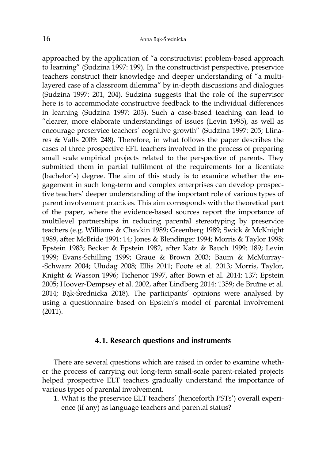approached by the application of "a constructivist problem-based approach to learning" (Sudzina 1997: 199). In the constructivist perspective, preservice teachers construct their knowledge and deeper understanding of "a multilayered case of a classroom dilemma" by in-depth discussions and dialogues (Sudzina 1997: 201, 204). Sudzina suggests that the role of the supervisor here is to accommodate constructive feedback to the individual differences in learning (Sudzina 1997: 203). Such a case-based teaching can lead to "clearer, more elaborate understandings of issues (Levin 1995), as well as encourage preservice teachers' cognitive growth" (Sudzina 1997: 205; Llinares & Valls 2009: 248). Therefore, in what follows the paper describes the cases of three prospective EFL teachers involved in the process of preparing small scale empirical projects related to the perspective of parents. They submitted them in partial fulfilment of the requirements for a licentiate (bachelor's) degree. The aim of this study is to examine whether the engagement in such long-term and complex enterprises can develop prospective teachers' deeper understanding of the important role of various types of parent involvement practices. This aim corresponds with the theoretical part of the paper, where the evidence-based sources report the importance of multilevel partnerships in reducing parental stereotyping by preservice teachers (e.g. Williams & Chavkin 1989; Greenberg 1989; Swick & McKnight 1989, after McBride 1991: 14; Jones & Blendinger 1994; Morris & Taylor 1998; Epstein 1983; Becker & Epstein 1982, after Katz & Bauch 1999: 189; Levin 1999; Evans-Schilling 1999; Graue & Brown 2003; Baum & McMurray- -Schwarz 2004; Uludag 2008; Ellis 2011; Foote et al. 2013; Morris, Taylor, Knight & Wasson 1996; Tichenor 1997, after Bown et al. 2014: 137; Epstein 2005; Hoover-Dempsey et al. 2002, after Lindberg 2014: 1359; de Bruïne et al. 2014; Bąk-Średnicka 2018). The participants' opinions were analysed by using a questionnaire based on Epstein's model of parental involvement (2011).

#### **4.1. Research questions and instruments**

There are several questions which are raised in order to examine whether the process of carrying out long-term small-scale parent-related projects helped prospective ELT teachers gradually understand the importance of various types of parental involvement.

1. What is the preservice ELT teachers' (henceforth PSTs') overall experience (if any) as language teachers and parental status?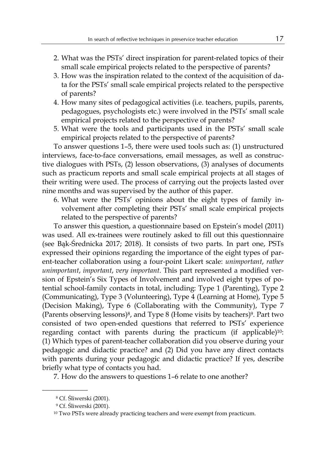- 2. What was the PSTs' direct inspiration for parent-related topics of their small scale empirical projects related to the perspective of parents?
- 3. How was the inspiration related to the context of the acquisition of data for the PSTs' small scale empirical projects related to the perspective of parents?
- 4. How many sites of pedagogical activities (i.e. teachers, pupils, parents, pedagogues, psychologists etc.) were involved in the PSTs' small scale empirical projects related to the perspective of parents?
- 5. What were the tools and participants used in the PSTs' small scale empirical projects related to the perspective of parents?

To answer questions 1–5, there were used tools such as: (1) unstructured interviews, face-to-face conversations, email messages, as well as constructive dialogues with PSTs, (2) lesson observations, (3) analyses of documents such as practicum reports and small scale empirical projects at all stages of their writing were used. The process of carrying out the projects lasted over nine months and was supervised by the author of this paper.

6. What were the PSTs' opinions about the eight types of family involvement after completing their PSTs' small scale empirical projects related to the perspective of parents?

To answer this question, a questionnaire based on Epstein's model (2011) was used. All ex-trainees were routinely asked to fill out this questionnaire (see Bąk-Średnicka 2017; 2018). It consists of two parts. In part one, PSTs expressed their opinions regarding the importance of the eight types of parent-teacher collaboration using a four-point Likert scale: *unimportant*, *rather unimportant*, *important*, *very important*. This part represented a modified version of Epstein's Six Types of Involvement and involved eight types of potential school-family contacts in total, including: Type 1 (Parenting), Type 2 (Communicating), Type 3 (Volunteering), Type 4 (Learning at Home), Type 5 (Decision Making), Type 6 (Collaborating with the Community), Type 7 (Parents observing lessons)<sup>8</sup>, and Type 8 (Home visits by teachers)<sup>9</sup>. Part two consisted of two open-ended questions that referred to PSTs' experience regarding contact with parents during the practicum (if applicable)<sup>10</sup>: (1) Which types of parent-teacher collaboration did you observe during your pedagogic and didactic practice? and (2) Did you have any direct contacts with parents during your pedagogic and didactic practice? If yes, describe briefly what type of contacts you had.

7. How do the answers to questions 1–6 relate to one another?

<sup>8</sup> Cf. Śliwerski (2001).

<sup>9</sup> Cf. Śliwerski (2001).

<sup>&</sup>lt;sup>10</sup> Two PSTs were already practicing teachers and were exempt from practicum.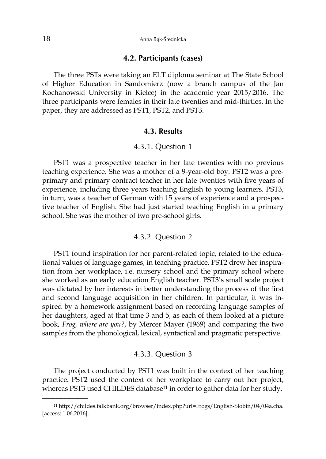#### **4.2. Participants (cases)**

The three PSTs were taking an ELT diploma seminar at The State School of Higher Education in Sandomierz (now a branch campus of the Jan Kochanowski University in Kielce) in the academic year 2015/2016. The three participants were females in their late twenties and mid-thirties. In the paper, they are addressed as PST1, PST2, and PST3.

#### **4.3. Results**

#### 4.3.1. Question 1

PST1 was a prospective teacher in her late twenties with no previous teaching experience. She was a mother of a 9-year-old boy. PST2 was a preprimary and primary contract teacher in her late twenties with five years of experience, including three years teaching English to young learners. PST3, in turn, was a teacher of German with 15 years of experience and a prospective teacher of English. She had just started teaching English in a primary school. She was the mother of two pre-school girls.

#### 4.3.2. Question 2

PST1 found inspiration for her parent-related topic, related to the educational values of language games, in teaching practice. PST2 drew her inspiration from her workplace, i.e. nursery school and the primary school where she worked as an early education English teacher. PST3's small scale project was dictated by her interests in better understanding the process of the first and second language acquisition in her children. In particular, it was inspired by a homework assignment based on recording language samples of her daughters, aged at that time 3 and 5, as each of them looked at a picture book, *Frog, where are you?*, by Mercer Mayer (1969) and comparing the two samples from the phonological, lexical, syntactical and pragmatic perspective.

#### 4.3.3. Question 3

The project conducted by PST1 was built in the context of her teaching practice. PST2 used the context of her workplace to carry out her project, whereas PST3 used CHILDES database<sup>11</sup> in order to gather data for her study.

<sup>11</sup> http://childes.talkbank.org/browser/index.php?url=Frogs/English-Slobin/04/04a.cha. [access: 1.06.2016].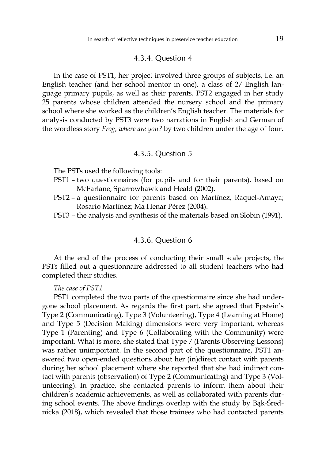#### 4.3.4. Question 4

In the case of PST1, her project involved three groups of subjects, i.e. an English teacher (and her school mentor in one), a class of 27 English language primary pupils, as well as their parents. PST2 engaged in her study 25 parents whose children attended the nursery school and the primary school where she worked as the children's English teacher. The materials for analysis conducted by PST3 were two narrations in English and German of the wordless story *Frog, where are you?* by two children under the age of four.

#### 4.3.5. Question 5

The PSTs used the following tools:

- PST1 two questionnaires (for pupils and for their parents), based on McFarlane, Sparrowhawk and Heald (2002).
- PST2 a questionnaire for parents based on Martínez, Raquel-Amaya; Rosario Martínez; Ma Henar Pérez (2004).
- PST3 the analysis and synthesis of the materials based on Slobin (1991).

#### 4.3.6. Question 6

At the end of the process of conducting their small scale projects, the PSTs filled out a questionnaire addressed to all student teachers who had completed their studies.

#### *The case of PST1*

PST1 completed the two parts of the questionnaire since she had undergone school placement. As regards the first part, she agreed that Epstein's Type 2 (Communicating), Type 3 (Volunteering), Type 4 (Learning at Home) and Type 5 (Decision Making) dimensions were very important, whereas Type 1 (Parenting) and Type 6 (Collaborating with the Community) were important. What is more, she stated that Type 7 (Parents Observing Lessons) was rather unimportant. In the second part of the questionnaire, PST1 answered two open-ended questions about her (in)direct contact with parents during her school placement where she reported that she had indirect contact with parents (observation) of Type 2 (Communicating) and Type 3 (Volunteering). In practice, she contacted parents to inform them about their children's academic achievements, as well as collaborated with parents during school events. The above findings overlap with the study by Bąk-Średnicka (2018), which revealed that those trainees who had contacted parents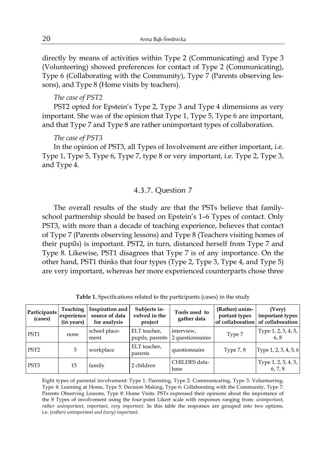directly by means of activities within Type 2 (Communicating) and Type 3 (Volunteering) showed preferences for contact of Type 2 (Communicating), Type 6 (Collaborating with the Community), Type 7 (Parents observing lessons), and Type 8 (Home visits by teachers).

#### *The case of PST2*

PST2 opted for Epstein's Type 2, Type 3 and Type 4 dimensions as very important. She was of the opinion that Type 1, Type 5, Type 6 are important, and that Type 7 and Type 8 are rather unimportant types of collaboration.

#### *The case of PST3*

In the opinion of PST3, all Types of Involvement are either important, i.e. Type 1, Type 5, Type 6, Type 7, type 8 or very important, i.e. Type 2, Type 3, and Type 4.

#### 4.3.7. Question 7

The overall results of the study are that the PSTs believe that familyschool partnership should be based on Epstein's 1–6 Types of contact. Only PST3, with more than a decade of teaching experience, believes that contact of Type 7 (Parents observing lessons) and Type 8 (Teachers visiting homes of their pupils) is important. PST2, in turn, distanced herself from Type 7 and Type 8. Likewise, PST1 disagrees that Type 7 is of any importance. On the other hand, PST1 thinks that four types (Type 2, Type 3, Type 4, and Type 5) are very important, whereas her more experienced counterparts chose three

| Participants<br>(cases) | <b>Teaching</b><br>experience<br>(in years) | Inspiration and<br>source of data<br>for analysis | Subjects in-<br>volved in the<br>project | Tools used to<br>gather data                   | (Rather) unim-<br>portant types | (Very)<br>important types<br>of collaboration of collaboration |
|-------------------------|---------------------------------------------|---------------------------------------------------|------------------------------------------|------------------------------------------------|---------------------------------|----------------------------------------------------------------|
| PST <sub>1</sub>        | none                                        | school place-<br>ment                             | ELT teacher,                             | interview,<br>pupils, parents 2 questionnaires | Type 7                          | Type 1, 2, 3, 4, 5,<br>6.8                                     |
| PST <sub>2</sub>        | 5                                           | workplace                                         | ELT teacher,<br>parents                  | questionnaire                                  | Type $7, 8$                     | Type 1, 2, 3, 4, 5, 6                                          |
| PST <sub>3</sub>        | 15                                          | family                                            | 2 children                               | CHILDES data-<br>base                          |                                 | Type 1, 2, 3, 4, 5,<br>6, 7, 8                                 |

**Table 1.** Specifications related to the participants (cases) in the study

Eight types of parental involvement: Type 1: Parenting, Type 2: Communicating, Type 3: Volunteering, Type 4: Learning at Home, Type 5: Decision Making, Type 6: Collaborating with the Community, Type 7: Parents Observing Lessons, Type 8: Home Visits. PSTs expressed their opinions about the importance of the 8 Types of involvement using the four-point Likert scale with responses ranging from: *unimportant*, *rather unimportant*, *important*, *very important*. In this table the responses are grouped into two options, i.e. (*rather) unimportant and (very) important*.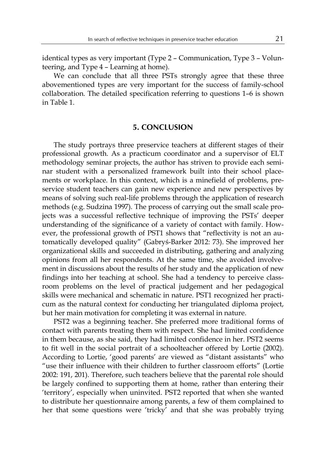identical types as very important (Type 2 – Communication, Type 3 – Volunteering, and Type 4 – Learning at home).

We can conclude that all three PSTs strongly agree that these three abovementioned types are very important for the success of family-school collaboration. The detailed specification referring to questions 1–6 is shown in Table 1.

#### **5. CONCLUSION**

The study portrays three preservice teachers at different stages of their professional growth. As a practicum coordinator and a supervisor of ELT methodology seminar projects, the author has striven to provide each seminar student with a personalized framework built into their school placements or workplace. In this context, which is a minefield of problems, preservice student teachers can gain new experience and new perspectives by means of solving such real-life problems through the application of research methods (e.g. Sudzina 1997). The process of carrying out the small scale projects was a successful reflective technique of improving the PSTs' deeper understanding of the significance of a variety of contact with family. However, the professional growth of PST1 shows that "reflectivity is not an automatically developed quality" (Gabryś-Barker 2012: 73). She improved her organizational skills and succeeded in distributing, gathering and analyzing opinions from all her respondents. At the same time, she avoided involvement in discussions about the results of her study and the application of new findings into her teaching at school. She had a tendency to perceive classroom problems on the level of practical judgement and her pedagogical skills were mechanical and schematic in nature. PST1 recognized her practicum as the natural context for conducting her triangulated diploma project, but her main motivation for completing it was external in nature.

PST2 was a beginning teacher. She preferred more traditional forms of contact with parents treating them with respect. She had limited confidence in them because, as she said, they had limited confidence in her. PST2 seems to fit well in the social portrait of a schoolteacher offered by Lortie (2002). According to Lortie, 'good parents' are viewed as "distant assistants" who "use their influence with their children to further classroom efforts" (Lortie 2002: 191, 201). Therefore, such teachers believe that the parental role should be largely confined to supporting them at home, rather than entering their 'territory', especially when uninvited. PST2 reported that when she wanted to distribute her questionnaire among parents, a few of them complained to her that some questions were 'tricky' and that she was probably trying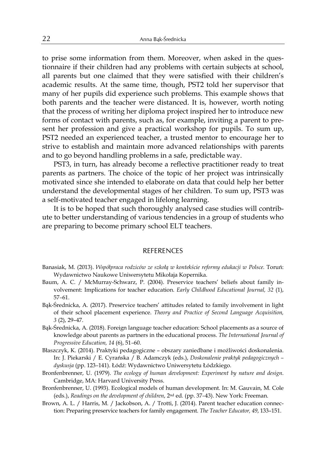to prise some information from them. Moreover, when asked in the questionnaire if their children had any problems with certain subjects at school, all parents but one claimed that they were satisfied with their children's academic results. At the same time, though, PST2 told her supervisor that many of her pupils did experience such problems. This example shows that both parents and the teacher were distanced. It is, however, worth noting that the process of writing her diploma project inspired her to introduce new forms of contact with parents, such as, for example, inviting a parent to present her profession and give a practical workshop for pupils. To sum up, PST2 needed an experienced teacher, a trusted mentor to encourage her to strive to establish and maintain more advanced relationships with parents and to go beyond handling problems in a safe, predictable way.

PST3, in turn, has already become a reflective practitioner ready to treat parents as partners. The choice of the topic of her project was intrinsically motivated since she intended to elaborate on data that could help her better understand the developmental stages of her children. To sum up, PST3 was a self-motivated teacher engaged in lifelong learning.

It is to be hoped that such thoroughly analysed case studies will contribute to better understanding of various tendencies in a group of students who are preparing to become primary school ELT teachers.

#### **REFERENCES**

- Banasiak, M. (2013). *Współpraca rodziców ze szkołą w kontekście reformy edukacji w Polsce.* Toruń: Wydawnictwo Naukowe Uniwersytetu Mikołaja Kopernika.
- Baum, A. C. / McMurray-Schwarz, P. (2004). Preservice teachers' beliefs about family involvement: Implications for teacher education. *Early Childhood Educational Journal, 32* (1), 57*–*61.
- Bąk-Średnicka, A*.* (2017). Preservice teachers' attitudes related to family involvement in light of their school placement experience. *Theory and Practice of Second Language Acquisition, 3* (2), 29–47.
- Bąk-Średnicka, A. (2018). Foreign language teacher education: School placements as a source of knowledge about parents as partners in the educational process. *The International Journal of Progressive Education, 14* (6), 51*–*60.
- Błaszczyk, K. (2014). Praktyki pedagogiczne obszary zaniedbane i możliwości doskonalenia. In: J. Piekarski / E. Cyrańska / B. Adamczyk (eds.), *Doskonalenie praktyk pedagogicznych – dyskusja* (pp. 123*–*141). Łódź: Wydawnictwo Uniwersytetu Łódzkiego.
- Bronfenbrenner, U. (1979). *The ecology of human development: Experiment by nature and design*. Cambridge, MA: Harvard University Press.
- Bronfenbrenner, U. (1993). Ecological models of human development. In: M. Gauvain, M. Cole (eds.), *Readings on the development of children*, 2nd ed*.* (pp. 37*–*43). New York: Freeman.
- Brown, A. L. / Harris, M. / Jackobson, A. / Trotti, J. (2014). Parent teacher education connection: Preparing preservice teachers for family engagement. *The Teacher Educator, 49*, 133–151.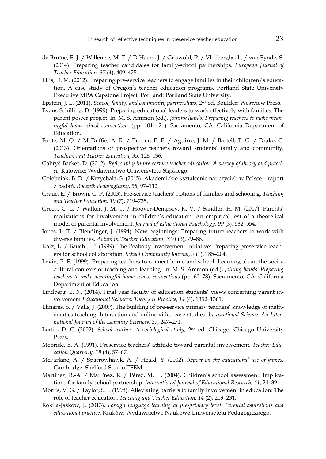- de Bruïne, E. J. / Willemse, M. T. / D'Haem, J. / Griswold, P. / Vloeberghs, L. / van Eynde, S. (2014). Preparing teacher candidates for family-school partnerships. *European Journal of Teacher Education, 37* (4), 409–425.
- Ellis, D. M. (2012). Preparing pre-service teachers to engage families in their child(ren)'s education. A case study of Oregon's teacher education programs. Portland State University Executive MPA Capstone Project. Portland: Portland State University.
- Epstein, J. L. (2011). *School, family, and community partnerships*, 2nd ed. Boulder: Westview Press.
- Evans-Schilling, D. (1999). Preparing educational leaders to work effectively with families: The parent power project. In: M. S. Ammon (ed.), *Joining hands: Preparing teachers to make meaningful home-school connections* (pp. 101*–*121). Sacramento, CA: California Department of Education.
- Foote, M. Q. / McDuffie, A. R. / Turner, E. E. / Aguirre, J. M. / Bartell, T. G. / Drake, C. (2013). Orientations of prospective teachers toward students' family and community. *Teaching and Teacher Education, 35*, 126*–*136.
- Gabryś-Barker, D. (2012). *Reflectivity in pre-service teacher education. A survey of theory and practice.* Katowice: Wydawnictwo Uniwersytetu Śląskiego.
- Gołębniak, B. D. / Krzychała, S. (2015). Akademickie kształcenie nauczycieli w Polsce raport z badań. *Rocznik Pedagogiczny, 38*, 97*–*112.
- Graue, E. / Brown, C. P. (2003). Pre-service teachers' notions of families and schooling. *Teaching and Teacher Education, 19* (7), 719*–*735.
- Green, C. L. / Walker, J. M. T. / Hoover-Dempsey, K. V. / Sandler, H. M. (2007). Parents' motivations for involvement in children's education: An empirical test of a theoretical model of parental involvement. *Journal of Educational Psychology, 99* (3), 532*–*554.
- Jones, L. T. / Blendinger, J. (1994). New beginnings: Preparing future teachers to work with diverse families. *Action in Teacher Education, XVI* (3), 79*–*86.
- Katz, L. / Bauch J. P. (1999). The Peabody Involvement Initiative: Preparing preservice teachers for school collaboration. *School Community Journal, 9* (1), 185*–*204.
- Levin, P. F. (1999). Preparing teachers to connect home and school: Learning about the sociocultural contexts of teaching and learning. In: M. S. Ammon (ed.), *Joining hands: Preparing teachers to make meaningful home-school connections* (pp. 60*–*78). Sacramento, CA: California Department of Education.
- Lindberg, E. N. (2014). Final year faculty of education students' views concerning parent involvement *Educational Sciences: Theory & Practice*, *14* (4), 1352*–*1361.
- Llinares, S. / Valls, J. (2009). The building of pre-service primary teachers' knowledge of mathematics teaching: Interaction and online video case studies. *Instructional Science: An International Journal of the Learning Sciences, 37*, 247–271.
- Lortie, D. C. (2002). *School teacher. A sociological study*, 2nd ed. Chicago: Chicago University Press.
- McBride, B. A. (1991). Preservice teachers' attitude toward parental involvement. *Teacher Education Quarterly, 18* (4), 57*–*67.
- McFarlane, A. / Sparrowhawk, A. / Heald, Y. (2002). *Report on the educational use of games.*  Cambridge: Shelford Studio TEEM.
- Martínez, R.-A. / Martínez, R. / Pérez, M. H. (2004). Children's school assessment: Implications for family-school partnership. *International Journal of Educational Research, 41*, 24*–*39.
- Morris, V. G. / Taylor, S. I. (1998). Alleviating barriers to family involvement in education: The role of teacher education. *Teaching and Teacher Education, 14* (2), 219*–*231.
- Rokita-Jaśkow, J. (2013). *Foreign language learning at pre-primary level. Parental aspirations and educational practice.* Kraków: Wydawnictwo Naukowe Uniwersytetu Pedagogicznego.